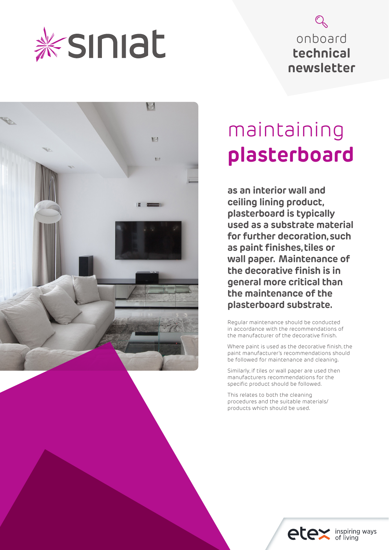

# onboard **technical newsletter**



# maintaining **plasterboard**

**as an interior wall and ceiling lining product, plasterboard is typically used as a substrate material for further decoration, such as paint finishes, tiles or wall paper. Maintenance of the decorative finish is in general more critical than the maintenance of the plasterboard substrate.**

Regular maintenance should be conducted in accordance with the recommendations of the manufacturer of the decorative finish.

Where paint is used as the decorative finish, the paint manufacturer's recommendations should be followed for maintenance and cleaning.

Similarly, if tiles or wall paper are used then manufacturers recommendations for the specific product should be followed.

This relates to both the cleaning procedures and the suitable materials/ products which should be used.

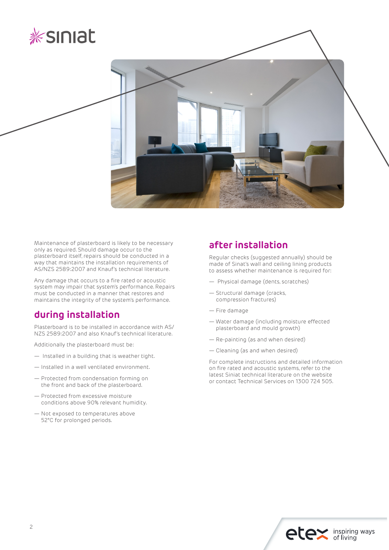



Maintenance of plasterboard is likely to be necessary only as required. Should damage occur to the plasterboard itself, repairs should be conducted in a way that maintains the installation requirements of AS/NZS 2589:2007 and Knauf's technical literature.

Any damage that occurs to a fire rated or acoustic system may impair that system's performance. Repairs must be conducted in a manner that restores and maintains the integrity of the system's performance.

# **during installation**

Plasterboard is to be installed in accordance with AS/ NZS 2589:2007 and also Knauf's technical literature.

Additionally the plasterboard must be:

- Installed in a building that is weather tight.
- Installed in a well ventilated environment.
- Protected from condensation forming on the front and back of the plasterboard.
- Protected from excessive moisture conditions above 90% relevant humidity.
- Not exposed to temperatures above 52°C for prolonged periods.

## **after installation**

Regular checks (suggested annually) should be made of Sinat's wall and ceiling lining products to assess whether maintenance is required for:

- Physical damage (dents, scratches)
- Structural damage (cracks, compression fractures)
- Fire damage
- Water damage (including moisture effected plasterboard and mould growth)
- Re-painting (as and when desired)
- Cleaning (as and when desired)

For complete instructions and detailed information on fire rated and acoustic systems, refer to the latest Siniat technical literature on the website or contact Technical Services on 1300 724 505.